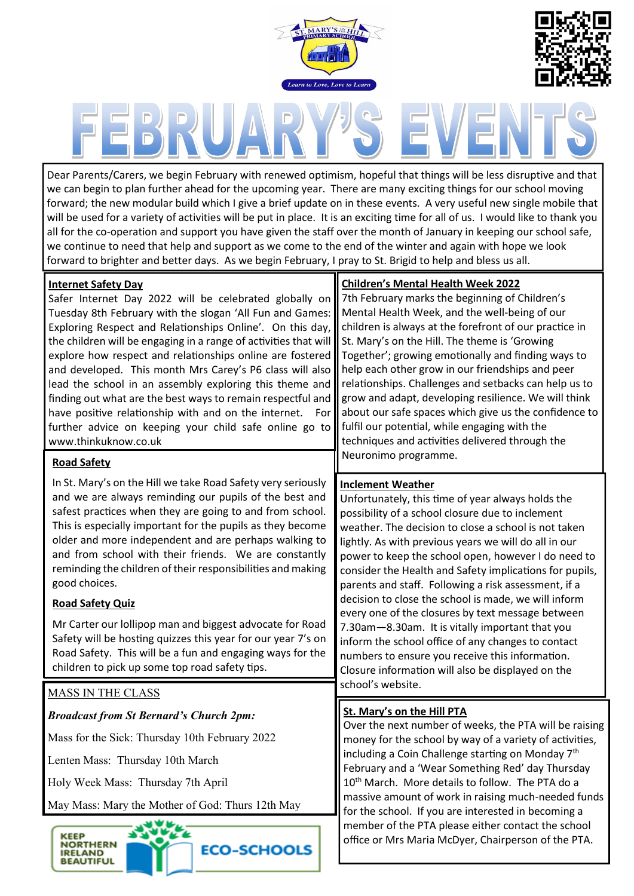



Dear Parents/Carers, we begin February with renewed optimism, hopeful that things will be less disruptive and that we can begin to plan further ahead for the upcoming year. There are many exciting things for our school moving forward; the new modular build which I give a brief update on in these events. A very useful new single mobile that will be used for a variety of activities will be put in place. It is an exciting time for all of us. I would like to thank you all for the co-operation and support you have given the staff over the month of January in keeping our school safe, we continue to need that help and support as we come to the end of the winter and again with hope we look forward to brighter and better days. As we begin February, I pray to St. Brigid to help and bless us all.

### **Internet Safety Day**

Safer Internet Day 2022 will be celebrated globally on Tuesday 8th February with the slogan 'All Fun and Games: Exploring Respect and Relationships Online'. On this day, the children will be engaging in a range of activities that will explore how respect and relationships online are fostered and developed. This month Mrs Carey's P6 class will also lead the school in an assembly exploring this theme and finding out what are the best ways to remain respectful and have positive relationship with and on the internet. For further advice on keeping your child safe online go to www.thinkuknow.co.uk

### **Road Safety**

In St. Mary's on the Hill we take Road Safety very seriously and we are always reminding our pupils of the best and safest practices when they are going to and from school. This is especially important for the pupils as they become older and more independent and are perhaps walking to and from school with their friends. We are constantly reminding the children of their responsibilities and making good choices.

## **Road Safety Quiz**

Mr Carter our lollipop man and biggest advocate for Road Safety will be hosting quizzes this year for our year 7's on Road Safety. This will be a fun and engaging ways for the children to pick up some top road safety tips.

# MASS IN THE CLASS

*Broadcast from St Bernard's Church 2pm:* 

Mass for the Sick: Thursday 10th February 2022

Lenten Mass: Thursday 10th March

Holy Week Mass: Thursday 7th April

May Mass: Mary the Mother of God: Thurs 12th May





## **Children's Mental Health Week 2022**

7th February marks the beginning of Children's Mental Health Week, and the well-being of our children is always at the forefront of our practice in St. Mary's on the Hill. The theme is 'Growing Together'; growing emotionally and finding ways to help each other grow in our friendships and peer relationships. Challenges and setbacks can help us to grow and adapt, developing resilience. We will think about our safe spaces which give us the confidence to fulfil our potential, while engaging with the techniques and activities delivered through the Neuronimo programme.

### **Inclement Weather**

Unfortunately, this time of year always holds the possibility of a school closure due to inclement weather. The decision to close a school is not taken lightly. As with previous years we will do all in our power to keep the school open, however I do need to consider the Health and Safety implications for pupils, parents and staff. Following a risk assessment, if a decision to close the school is made, we will inform every one of the closures by text message between 7.30am—8.30am. It is vitally important that you inform the school office of any changes to contact numbers to ensure you receive this information. Closure information will also be displayed on the school's website.

## **St. Mary's on the Hill PTA**

Over the next number of weeks, the PTA will be raising money for the school by way of a variety of activities, including a Coin Challenge starting on Monday 7<sup>th</sup> February and a 'Wear Something Red' day Thursday 10<sup>th</sup> March. More details to follow. The PTA do a massive amount of work in raising much-needed funds for the school. If you are interested in becoming a member of the PTA please either contact the school office or Mrs Maria McDyer, Chairperson of the PTA.